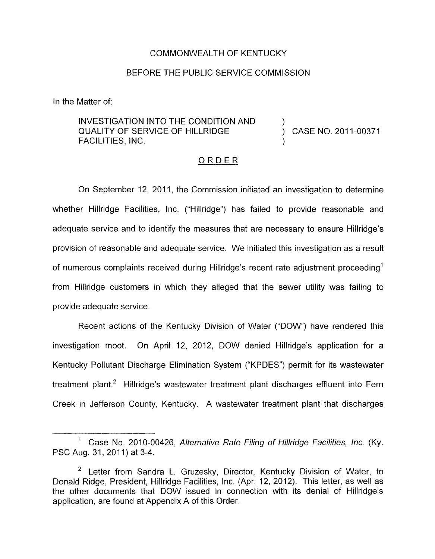### COMMONWEALTH OF KENTUCKY

### BEFORE THE PUBLIC SERVICE COMMISSION

In the Matter of:

INVESTIGATION INTO THE CONDITION AND QUALITY OF SERVICE OF HILLRIDGE  $\overrightarrow{)}$  CASE NO. 2011-00371 FACILITIES, INC.

)

)

### ORDER

On September 12, 2011, the Commission initiated an investigation to determine whether Hillridge Facilities, Inc. ("Hillridge") has failed to provide reasonable and adequate service and to identify the measures that are necessary to ensure Hillridge's provision of reasonable and adequate service. We initiated this investigation as a result of numerous complaints received during Hillridge's recent rate adjustment proceeding' from Hillridge customers in which they alleged that the sewer utility was failing to provide adequate service.

Recent actions of the Kentucky Division of Water ("DOW") have rendered this investigation moot. On April 12, 2012, DOW denied Hillridge's application for a Kentucky Pollutant Discharge Elimination System ("KPDES") permit for its wastewater treatment plant.<sup>2</sup> Hillridge's wastewater treatment plant discharges effluent into Fern Creek in Jefferson County, Kentucky. A wastewater treatment plant that discharges

<sup>&</sup>lt;sup>1</sup> Case No. 2010-00426, *Alternative Rate Filing of Hillridge Facilities, Inc.* (Ky. PSC Aug. 31, 2011) at 3-4.

 $2$  Letter from Sandra L. Gruzesky, Director, Kentucky Division of Water, to Donald Ridge, President, Hillridge Facilities, Inc. (Apr. 12, 2012). This letter, as well as the other documents that DOW issued in connection with its denial of Hillridge's applicatian, are found at Appendix A of this Order.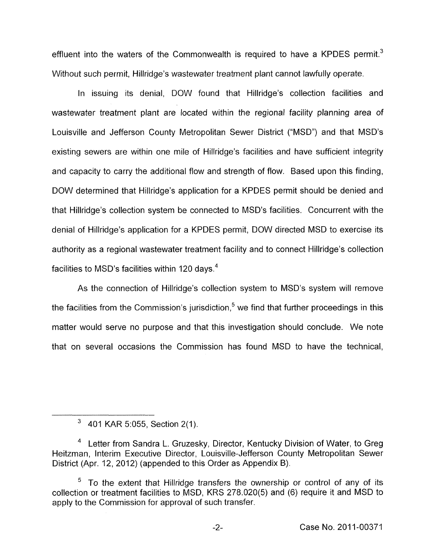effluent into the waters of the Commonwealth is required to have a KPDES permit.<sup>3</sup> Without such permit, Hillridge's wastewater treatment plant cannot lawfully operate.

In issuing its denial, DOW found that Hillridge's collection facilities and wastewater treatment plant are located within the regional facility planning area of Louisville and Jefferson County Metropolitan Sewer District ("MSD") and that MSD's existing sewers are within one mile of Hillridge's facilities and have sufficient integrity and capacity to carry the additional flow and strength of flow. Based upon this finding, DOW determined that Hillridge's application for a KPDES permit should be denied and that Hillridge's collection system be connected to MSD's facilities. Concurrent with the denial of Hillridge's application for a KPDES permit, DOW directed MSD to exercise its authority as a regional wastewater treatment facility and to connect Hillridge's collection facilities to MSD's facilities within 120 days.<sup>4</sup>

As the connection of Hillridge's collection system to MSD's system will remove the facilities from the Commission's jurisdiction,<sup>5</sup> we find that further proceedings in this matter would serve no purpose and that this investigation should conclude. We note that on several occasions the Commission has found MSD to have the technical,

 $3\quad$  401 KAR 5:055, Section 2(1).

<sup>&</sup>lt;sup>4</sup> Letter from Sandra L. Gruzesky, Director, Kentucky Division of Water, to Greg Heitzman, Interim Executive Director, Louisville-Jefferson County Metropolitan Sewer District (Apr. 12, 2012) (appended to this Order as Appendix B).

 $5$  To the extent that Hillridge transfers the ownership or control of any of its collection or treatment facilities to MSD, KRS 278.020(5) and (6) require it and MSD to apply to the Commission for approval of such transfer.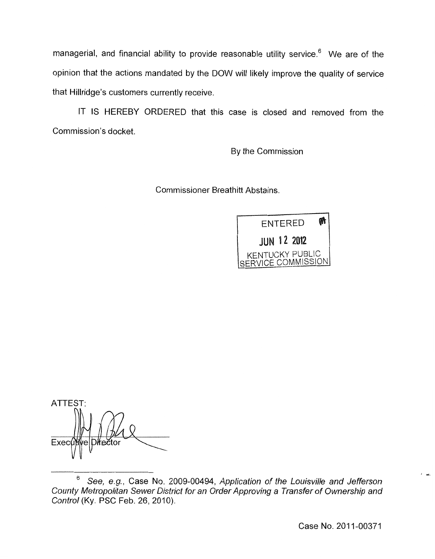managerial, and financial ability to provide reasonable utility service.<sup>6</sup> We are of the opinion that the actions mandated by the DOW will likely improve the quality of service that Hillridge's customers currently receive.

IT IS HEREBY ORDERED that this case is closed and removed from the Commission's docket.

By the Commission

Commissioner Breathitt Abstains.



ATTEST: Exec

**.d** 

<sup>6</sup> *See, e.g.,* Case No. 2009-00494, *Application of the Louisville and Jefferson County Metropolitan Sewer District for an Order Approving a Transfer of Ownership and Control* (Ky. PSC Feb. 26, 2010).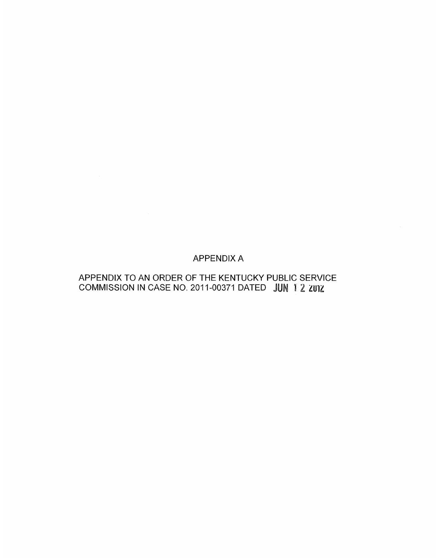# APPENDIX A

# APPENDIX TO AN ORDER OF THE KENTUCKY PUBLIC SERVICE COMMISSION IN CASE NO. 2011-00371 DATED JUN 12 2012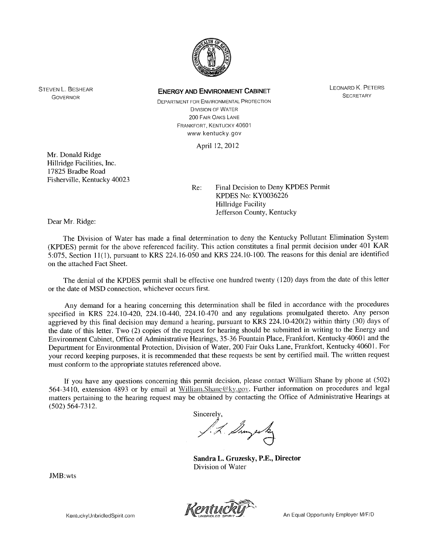

LEONARD K. PETERS **SECRETARY** 

**DEPARTMENT FOR ENVIRONMENTAL PROTECTION** DIVISION OF WATER *200* FAIR OAKS LANE www.kentucky.gov FRANKFORT. KENTUCKY 40601

April 12, 2012

Mr. Donald Ridge Hillridge Facilities, Inc. 17825 Bradbe Road Fisherville, Kentucky 40023

Re: Final Decision to Deny KPDES Permit KPDES No: KY0036226 Hillridge Facility Jefferson County, Kentucky

Dear Mr. Ridge:

STEVEN L. BESHEAR GOVERNOR

> The Division of Water has made a final determination to deny the Kentucky Pollutant Elimination System (KPDES) permit for the above referenced facility. This action constitutes a final permit decision under 401 KAR .5:075, Section 1 I( I), pursuant to KRS 224.16-0.50 and KRS 224.10-100. The reasons for this denial are identified on the attached Fact Sheet.

> The denial of the KPDES permit shall be effective one hundred twenty (120) days from the date of this letter or the date of MSD connection, whichever occurs first.

> Any demand for a hearing concerning this determination shall be filed in accordance with the procedures specified in KRS 224.10-420, 224.10-440, 224.10-470 and any regulations promulgated thereto. Any person aggrieved by this final decision may demand a hearing, pursuant to KRS 224.10-420(2) within thirty (30) days of the date of this letter. Two (2) copies of the request for hearing should be submitted in writing to the Energy and Environment Cabinet, Office of Administrative Hearings, 35-36 Fountain Place, Frankfort, Kentucky 4060 1 and the Department for Environmental Protection, Division of Water, 200 Fair Oaks Lane, Frankfort, Kentucky 4060 1. For your record keeping purposes, it is recommended that these requests be sent by certified mail. The written request must conform to the appropriate statutes referenced above.

> If- you have any questions concerning this permit decision, please contact William Shane by phone at (502) 564-3410, extension 4893 or by email at William.Shane@ky.gov. Further information on procedures and legal matters pertaining to the hearing request may be obtained by contacting the Office of Administrative Hearings at (502) 564-73 12.

Sincerely,

**Sandra L,. Gruzesky, P.E., Director**  Division of Water

JMB:wts



**An Equal Opportunity Employer M/F/D** 

KentuckyUnbridledSpirit.com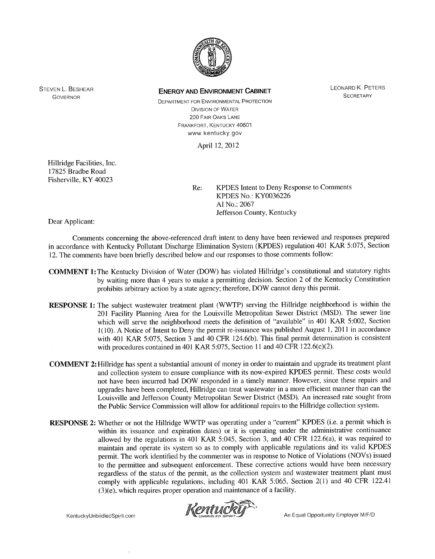

LEONARD K. PETERS **SECRETARY** 

DEPARTMENT FOR ENVIRONMENTAL PROTECTION DIVISION OF WATER *200* FAIR OAKS LANE FRANKFORT, KENTUCKY 40601 www kentucky gov

April 12, 2012

Hillridge Facilities, Inc. 17825 Bradbe Road Fisherville, KY 40023

Re: KPDES Intent to Deny Response to Comments KPDES No.: KY0036226 AI No.: 2067 Jefferson County, Kentucky

Dear Applicant:

STEVEN L. BESHEAR GOVERNOR

> Comments concerning the above-referenced draft intent to deny have been reviewed and responses prepared in accordance with Kentucky Pollutant Discharge Elimination System (KPDES) regulation 401 KAR 5:075, Section 12. The comments have been briefly described below and our responses to those comments follow:

- **COMMENT 1:** The Kentucky Division of Water (DOW) has violated Hillridge's constitutional and statutory rights by waiting more than 4 years to make a permitting decision. Section 2 of the Kentucky Constitution prohibits arbitrary action by a state agency; therefore, DOW cannot deny this permit.
- **RESPONSE 1:** The subject wastewater treatment plant (WWTP) serving the Hillridge neighborhood is within the 20 **1** Facility Planning Area for the Louisville Metropolitan Sewer District (MSD). The sewer line which will serve the neighborhood meets the definition of "available" in 401 KAR 5:002, Section 1(10). A Notice of Intent to Deny the permit re-issuance was published August 1, 2011 in accordance with 401 KAR 5:075, Section **3** and 40 CFR 124.6(b). This final permit determination is consistent with procedures contained in 401 KAR 5:075, Section 11 and 40 CFR 122.6(c)(2).
- **COMMENT 2:** Hillridge has spent a substantial amount of money in order to maintain and upgrade its treatment plant and collection system to ensure compliance with its now-expired KPDES permit. These costs would not have been incurred had DOW responded in a timely manner. However, since these repairs and upgrades have been completed, Hillridge can treat wastewater in a more efficient manner than can the Louisville and Jefferson County Metropolitan Sewer District (MSD). An increased rate sought from the Public Service Commission will allow for additional repairs to the Hillridge collection system.
- **RESPONSE 2:** Whether or not the Hillridge WWTP was operating under a "current" KPDES (i.e. a permit which is within its issuance and expiration dates) or it is operating under the administrative continuance allowed by the regulations in 401 KAR 5:045, Section 3, and 40 CFR 122.6(a), it was required to maintain and operate its system so as to comply with applicable regulations and its valid KPDES permit. The work identified by the commenter was in response to Notice of Violations (NOVs) issued to the permittee and subsequent enforcement. These conective actions would have been necessary regardless of the status of the permit, as the collection system and wastewater treatment plant must comply with applicable regulations, including 401 KAR *5:065,* Section 2(1) and 40 CFR 122.41  $(3)(e)$ , which requires proper operation and maintenance of a facility.



KentuckyUnbridledSpirit.com

An Equal Opportunity Employer M/F/D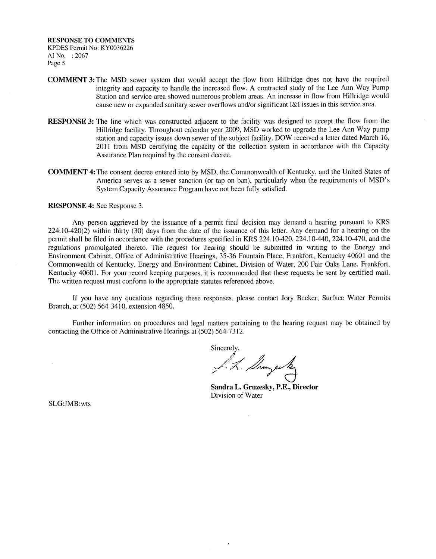- **COMMENT** 3:The MSD sewer system that would accept the tlow from Hillridge does not have the required integrity and capacity to handle the increased flow. A contracted study of the Lee Ann Way Pump Station and service area showed numerous problem areas. An increase in flow from Hillridge would cause new or expanded sanitary sewer overflows and/or significant **I&I** issues in this service area.
- **RESPONSE** 3: The line which was constructed adjacent to the facility was designed to accept the flow from the Hillridge facility. Throughout calendar year 2009, MSD worked to upgrade the Lee Ann Way pump station and capacity issues down sewer of the subject facility. DOW received a letter dated March 16, 2011 from MSD certifying the capacity of the collection system in accordance with the Capacity Assurance Plan required by the consent decree.
- **COMMENT 4:** The consent decree entered into by MSD, the Commonwealth of Kentucky, and the United States of America serves as a sewer sanction (or tap on ban), particularly when the requirements of MSD's System Capacity Assurance Program have not been fully satisfied.

#### **RESPONSE 4:** See Response 3.

Any person aggrieved by the issuance of a permit final decision may demand a hearing pursuant to KRS  $224.10-420(2)$  within thirty (30) days from the date of the issuance of this letter. Any demand for a hearing on the permit shall be filed in accordance with the procedures specified in KRS 224.10-420, 224.10-440, 224.10-470, and the regulations promulgated thereto. The request for hearing should be submitted in writing to the Energy and Environment Cabinet, Office of Administrative Hearings, 35-36 Fountain Place, Frankfort, Kentucky 40601 and the Commonwealth of Kentucky, Energy and Environment Cabinet, Division of Water, 200 Fair Oaks Lane, Frankfort, Kentucky 40601. For your record keeping purposes, it is recommended that these requests be sent by certified mail. The written request must conform to the appropriate statutes referenced above.

If you have any questions regarding these responses, please contact Jory Becker, Surface Water Permits Branch, at (502) 564-3410, extension 4850.

Further information on procedures and legal matters pertaining to the hearing request may be obtained by contacting the Office of Administrative Hearings at (502) 564-73 12.

Sincerely,

/ *J,k/7%* :-

**Sandra L. Gruzesky, P.E., Director**  Division of Water

SLG:JMB:wts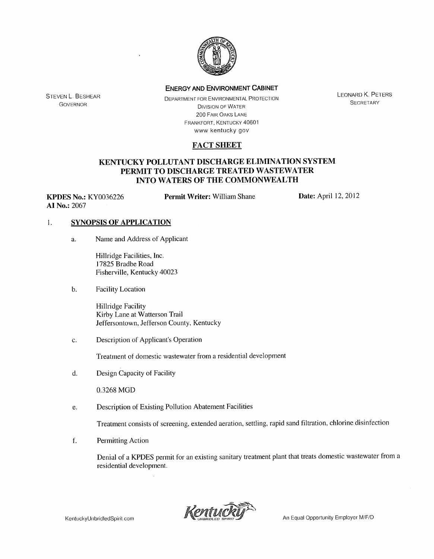

STEVEN L. BESHEAR GOVERNOR

DEPARTMENT FOR ENVIRONMENTAL PROTECTION Dl\/lSlON **OF** WATER *ZOO* FAIR OAKS LANE FRANKFORT, KENTUCKY 40601 www kentucky gov

**LEONARD K. PETERS** SECRETARY

## **FACT SHEET**

### **KENTIJCKY POLLUTANT DISCHARGE ELIMINATION SYSTEM PERMIT TO DISCHARGE TREATED WASTEWATER INTO WATERS OF THE COMMONWEALTH**

**KPDES No.:** KY0036226 **AI No.:** 2067

**Permit Writer:** William Shane **Date:** April 12, 2012

### I. **SYNOPSIS OF APPLICATION**

a. Name and Address of Applicant

Hillridge Facilities, Inc. 17825 Bradbe Road Fisherville, Kentucky 4002.3

b. Facility Location

Hillridge Facility Kirby Lane at Watterson Trail Jeffersontown, Jefferson County, Kentucky

C. Description of Applicant's Operation

Treatment of domestic wastewater from a residential development

d. Design Capacity of Facility

0.3268 MGD

e. Description of Existing Pollution Abatement Facilities

Treatment consists of screening, extended aeration, settling, rapid sand filtration, chlorine disinfection

f. Permitting Action

Denial of a KPDES permit for an existing sanitary treatment plant that treats domestic wastewater from a residential development.

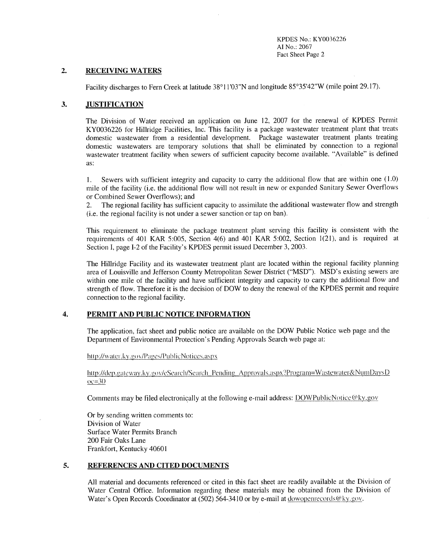KPDES No.: KY0036226 **AI** No.: 2067 Fact Sheet Page 2

#### **2. RECEIVING WATERS**

Facility discharges to Fern Creek at latitude 38°11'03"N and longitude 85°35'42"W (mile point 29.17).

#### **3. JUSTIFICATION**

The Division of Water received an application on June 12, 2007 for the renewal of KPDES Permit KY0036226 for Hillridge Facilities, Inc. This facility is a package wastewater treatment plant that treats domestic wastewater from a residential development. Package wastewater treatment plants treating domestic wastewaters are temporary solutions that shall be eliminated by connection to a regional wastewater treatment facility when sewers of sufficient capacity become available. "Available" is defined as:

1. Sewers with sufficient integrity and capacity to carry the additional flow that are within one  $(1.0)$ mile of the facility (i.e. the additional flow will not result in new or expanded Sanitary Sewer Overflows or Combined Sewer Overflows); and

2. The regional facility has sufficient capacity to assimilate the additional wastewater flow and strength (i.e. the regional facility is not under a sewer sanction or tap on ban).

This requirement to eliminate the package treatment plant serving this facility is consistent with the requirements of 401 KAR 5:005, Section 4(6) and 401 KAR 5:002, Section 1(21), and is required at Section I, page I-2 of the Facility's KPDES permit issued December 3, 2003.

The Hillridge Facility and its wastewater treatment plant are located within the regional facility planning area of Louisville and Jefferson County Metropolitan Sewer District ("MSD"). MSD's existing sewers are within one mile of the facility and have sufficient integrity and capacity to carry the additional flow and strength of flow. Therefore it is the decision of DOW to deny the renewal of the KPDES permit and requiie connection to the regional facility.

#### **4. PERMIT AND PUBLIC NOTICE INFORMATION**

The application, fact sheet and public notice are available on the DOW Public Notice web page and the Department of Environmental Protection's Pending Approvals Search web page at:

http://water.ky.gov/Pages/PublicNotices.aspx

#### http://dep.gateway.ky.gov/cSearch/Search Pending Approvals.aspx?Program=Wastewater&NumDaysD  $oc = 30$

Comments may be filed electronically at the following e-mail address: DOWPublicNotice@ky.gov

Or by sending written comments to: Division of Water Surface Water Permits Branch 200 Fair Oaks Lane Frankfort, Kentucky 40601

#### **5. REFERENCES AND CITED DOCUMENTS**

All material and documents referenced or cited in this fact sheet are readily available at the Division of Water Central Office. Information regarding these materials may be obtained from the Division of Water's Open Records Coordinator at (502) 564-3410 or by e-mail at dowopenrecords  $@ky.gov$ .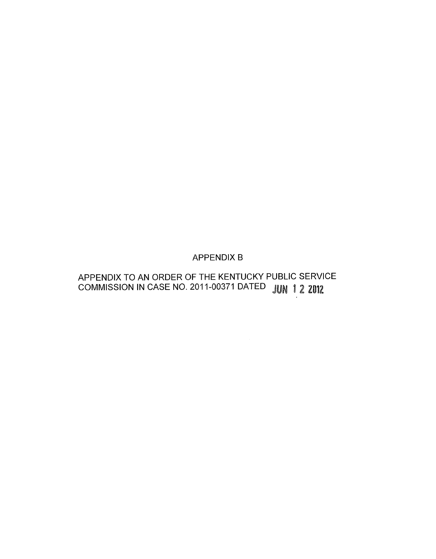# APPENDIX B

# APPENDIX TO AN ORDER OF THE KENTUCKY PUBLIC SERVICE COMMISSION IN CASE NO. 2011-00371 DATED JUN 1 2 2012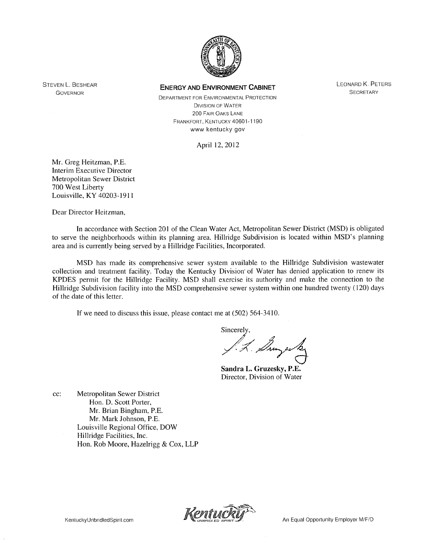

DIVISION OF WATER 200 FAIR OAKS LANE FRANKFORT, KENTUCKY 40601-1 190 www kentucky gov DEPARTMENT FOR ENVIRONMENTAL PROTECTION

April 12, 2012

Mr. Greg Heitzman, P.E. Interim Executive Director Metropolitan Sewer District 700 West Liberty Louisville. KY 40203-191 <sup>1</sup>

STEVEN L. BESHEAR GOVERNOR

Dear Director Heitzman,

In accordance with Section 201 of the Clean Water Act, Metropolitan Sewer District (MSD) is obligated to serve the neighborhoods within its planning area. Hillridge Subdivision is located within MSD's planning area and is currently being served by a Hillridge Facilities, Incorporated.

MSD has made its comprehensive sewer system available to the Hillridge Subdivision wastewater collection and treatment facility. Today the Kentucky Division' ot Water has denied application to renew its KPDES permit for the Hillridge Facility. MSD shall exercise its authority and make the connection to the Hillridge Subdivision facility into the MSD comprehensive sewer system within one hundred twenty ( 120) days ot the date of this letter.

If we need to discuss this issue, please contact me at (502) 564-3410.

Sincerely,

Sincerely,

**Sandra I,. Gruzesky, P.E.**  Director, Division of Water

cc: Metropolitan Sewer District Hon. D. Scott Porter, Mr. Brian Bingham, P.E. Mr. Mark Johnson, P.E. Louisville Regional Office, DOW Hillridge Facilities, Inc. Hon. Rob Moore, Hazelrigg & Cox, LLP



LEONARD K. PETERS **SECRETARY**